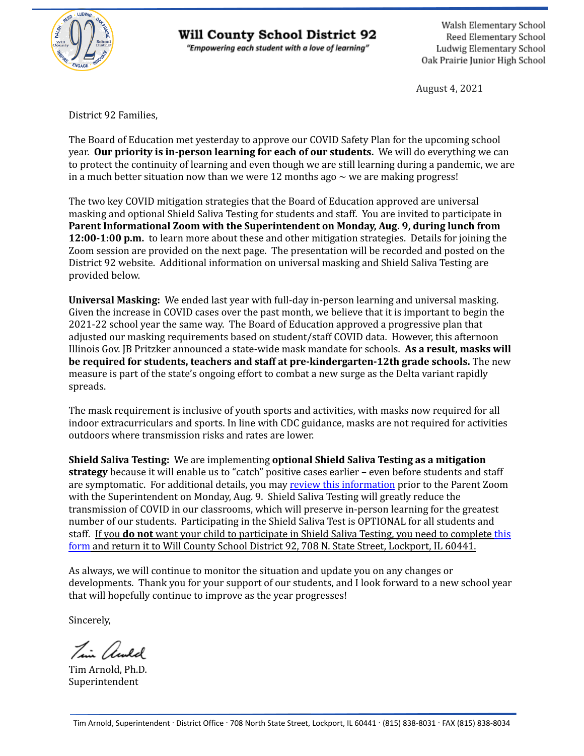

## Will County School District 92

"Empowering each student with a love of learning"

Walsh Elementary School Reed Elementary School Ludwig Elementary School Oak Prairie Junior High School

August 4, 2021

District 92 Families,

The Board of Education met yesterday to approve our COVID Safety Plan for the upcoming school year. **Our priority is in-person learning for each of our students.** We will do everything we can to protect the continuity of learning and even though we are still learning during a pandemic, we are in a much better situation now than we were 12 months ago  $\sim$  we are making progress!

The two key COVID mitigation strategies that the Board of Education approved are universal masking and optional Shield Saliva Testing for students and staff. You are invited to participate in **Parent Informational Zoom with the Superintendent on Monday, Aug. 9, during lunch from 12:00-1:00 p.m.** to learn more about these and other mitigation strategies. Details for joining the Zoom session are provided on the next page. The presentation will be recorded and posted on the District 92 website. Additional information on universal masking and Shield Saliva Testing are provided below.

**Universal Masking:** We ended last year with full-day in-person learning and universal masking. Given the increase in COVID cases over the past month, we believe that it is important to begin the 2021-22 school year the same way. The Board of Education approved a progressive plan that adjusted our masking requirements based on student/staff COVID data. However, this afternoon Illinois Gov. JB Pritzker announced a state-wide mask mandate for schools. **As a result, masks will be required for students, teachers and staff at pre-kindergarten-12th grade schools.** The new measure is part of the state's ongoing effort to combat a new surge as the Delta variant rapidly spreads.

The mask requirement is inclusive of youth sports and activities, with masks now required for all indoor extracurriculars and sports. In line with CDC guidance, masks are not required for activities outdoors where transmission risks and rates are lower.

**Shield Saliva Testing:** We are implementing **optional Shield Saliva Testing as a mitigation strategy** because it will enable us to "catch" positive cases earlier – even before students and staff are symptomatic. For additional details, you may review this [information](https://drive.google.com/file/d/1pLCO6O__A0Qz93XSbexMEtmKvCus4o8I/view?usp=sharing) prior to the Parent Zoom with the Superintendent on Monday, Aug. 9. Shield Saliva Testing will greatly reduce the transmission of COVID in our classrooms, which will preserve in-person learning for the greatest number of our students. Participating in the Shield Saliva Test is OPTIONAL for all students and staff. If you **do not** want your child to participate in Shield Saliva Testing, you need to complete [this](https://drive.google.com/file/d/1_VMxNwIFkaf8Y2Wcw7K2ua-vh9C8Gr2H/view?usp=sharing) [form](https://drive.google.com/file/d/1_VMxNwIFkaf8Y2Wcw7K2ua-vh9C8Gr2H/view?usp=sharing) and return it to Will County School District 92, 708 N. State Street, Lockport, IL 60441.

As always, we will continue to monitor the situation and update you on any changes or developments. Thank you for your support of our students, and I look forward to a new school year that will hopefully continue to improve as the year progresses!

Sincerely,

Tim awld

Tim Arnold, Ph.D. Superintendent